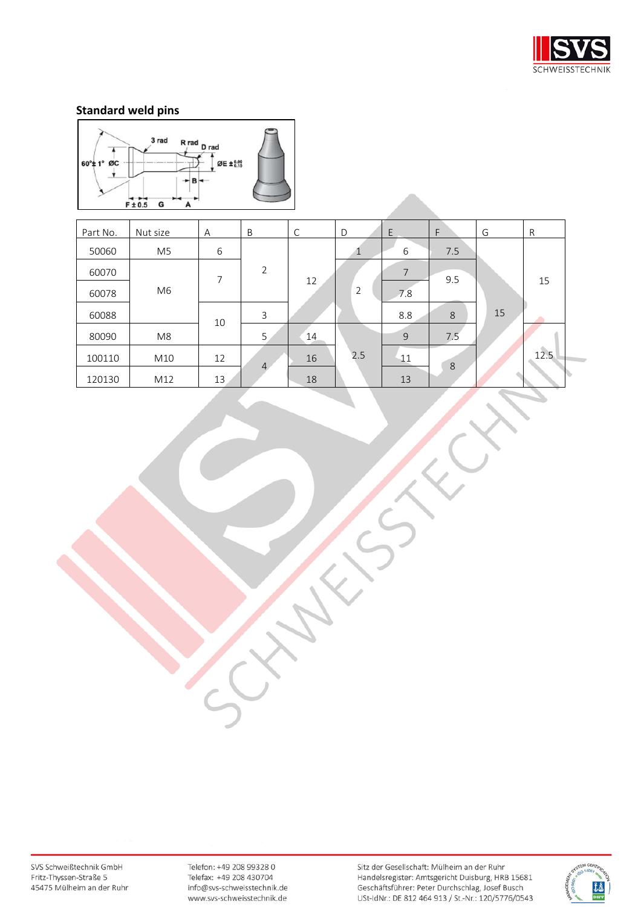



| Part No. | Nut size       | А  | B              | C  | D              | E              | F   | G  | $\mathsf{R}$ |
|----------|----------------|----|----------------|----|----------------|----------------|-----|----|--------------|
| 50060    | M5             | 6  |                |    |                | 6              | 7.5 |    |              |
| 60070    |                | 7  | 2              |    |                | $\overline{7}$ | 9.5 |    |              |
| 60078    | M <sub>6</sub> |    |                | 12 | $\overline{2}$ | 7.8            |     |    | 15           |
| 60088    |                | 10 | 3              |    |                | 8.8            | 8   | 15 |              |
| 80090    | M8             |    | 5              | 14 |                | 9              | 7.5 |    |              |
| 100110   | M10            | 12 |                | 16 | 2.5            | 11             |     |    | 12.5         |
| 120130   | M12            | 13 | $\overline{4}$ | 18 |                | 13             | 8   |    |              |

SVS Schweißtechnik GmbH Fritz-Thyssen-Straße 5 45475 Mülheim an der Ruhr

Telefon: +49 208 99328 0 Telefax: +49 208 430704 info@svs-schweisstechnik.de www.svs-schweisstechnik.de

Sitz der Gesellschaft: Mülheim an der Ruhr Handelsregister: Amtsgericht Duisburg, HRB 15681<br>Geschäftsführer: Peter Durchschlag, Josef Busch USt-IdNr.: DE 812 464 913 / St.-Nr.: 120/5776/0543

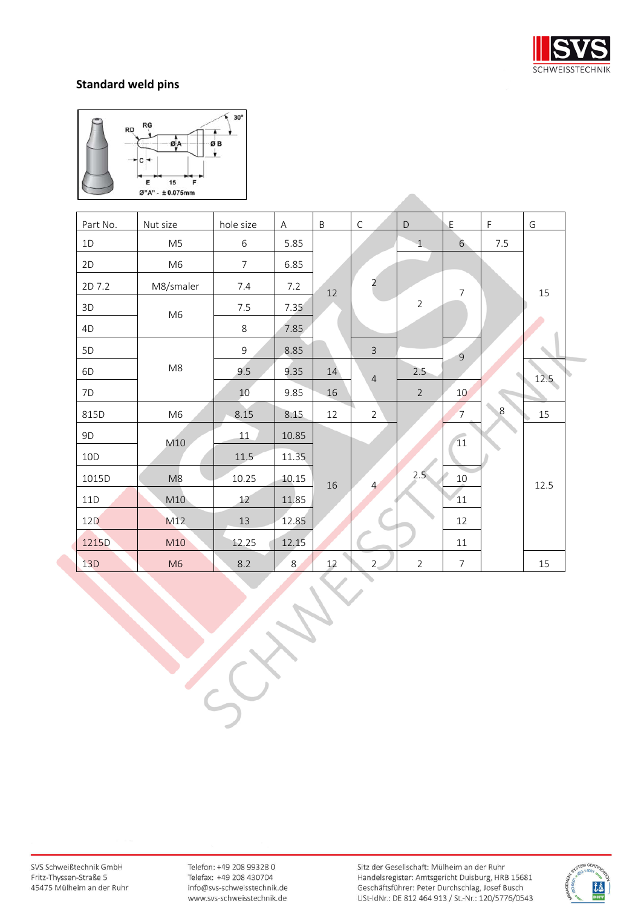



| Part No. | Nut size       | hole size      | $\overline{A}$ | $\sf B$ | $\mathsf{C}$   | D              | $\mathsf{E}% _{0}\left( \mathsf{E}_{0}\right)$ | $\mathsf{F}$ | G    |
|----------|----------------|----------------|----------------|---------|----------------|----------------|------------------------------------------------|--------------|------|
| 1D       | M <sub>5</sub> | $\,$ 6 $\,$    | 5.85           |         |                | $\mathbf{1}$   | 6                                              | $7.5\,$      |      |
| 2D       | M <sub>6</sub> | $\overline{7}$ | 6.85           |         |                |                |                                                |              |      |
| 2D 7.2   | M8/smaler      | 7.4            | 7.2            | $12\,$  | $\overline{a}$ |                | 7                                              |              | 15   |
| 3D       | M <sub>6</sub> | 7.5            | 7.35           |         |                | $\overline{2}$ |                                                |              |      |
| 4D       |                | 8              | 7.85           |         |                |                |                                                |              |      |
| 5D       |                | $\overline{9}$ | 8.85           |         | $\overline{3}$ |                | $\overline{9}$                                 |              |      |
| 6D       | M8             | 9.5            | 9.35           | 14      | $\overline{4}$ | 2.5            |                                                |              | 12.5 |
| 7D       |                | $10$           | 9.85           | $16\,$  |                | $\overline{2}$ | 10                                             |              |      |
| 815D     | M <sub>6</sub> | 8.15           | 8.15           | 12      | $\overline{2}$ |                | $7^{\circ}$                                    | 8            | 15   |
| 9D       | M10            | 11             | 10.85          |         |                |                | 11                                             |              |      |
| 10D      |                | 11.5           | 11.35          |         |                |                |                                                |              |      |
| 1015D    | M8             | 10.25          | 10.15          | 16      | $\overline{4}$ | 2.5            | $10$                                           |              | 12.5 |
| 11D      | M10            | 12             | 11.85          |         |                |                | 11                                             |              |      |
| 12D      | M12            | 13             | 12.85          |         |                |                | 12                                             |              |      |
| 1215D    | M10            | 12.25          | 12.15          |         |                |                | 11                                             |              |      |
| 13D      | M <sub>6</sub> | 8.2            | 8              | 12      | 2 <sub>1</sub> | $\overline{2}$ | $\overline{7}$                                 |              | 15   |

SVS Schweißtechnik GmbH Fritz-Thyssen-Straße 5 45475 Mülheim an der Ruhr

Telefon: +49 208 99328 0 Telefax: +49 208 430704 info@svs-schweisstechnik.de www.svs-schweisstechnik.de

Sitz der Gesellschaft: Mülheim an der Ruhr Handelsregister: Amtsgericht Duisburg, HRB 15681 Geschäftsführer: Peter Durchschlag, Josef Busch USt-IdNr.: DE 812 464 913 / St.-Nr.: 120/5776/0543

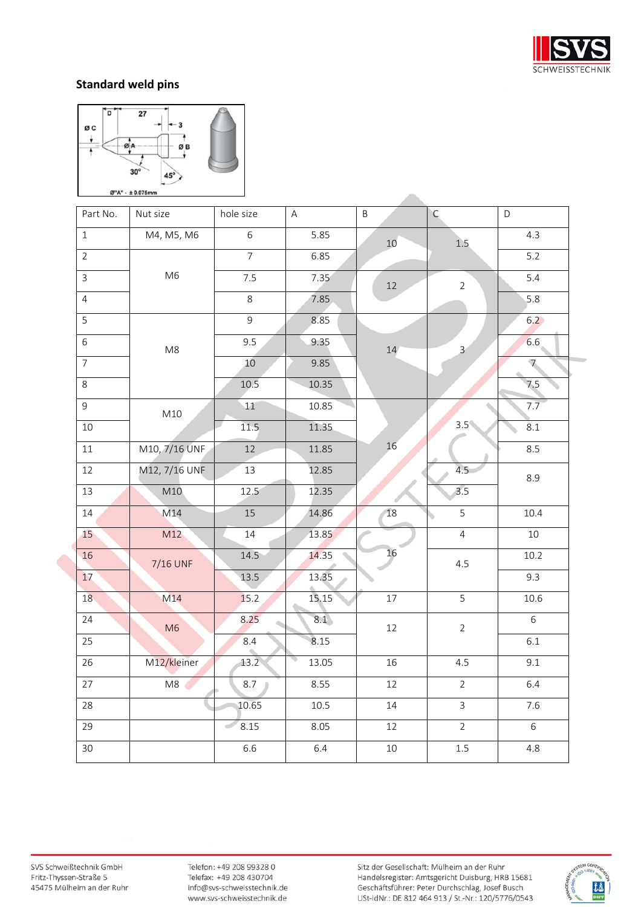



| Part No.       | Nut size      | hole size       | $\mathsf A$ | $\sf B$ | $\mathsf{C}$   | $\mathsf D$   |
|----------------|---------------|-----------------|-------------|---------|----------------|---------------|
| $\,1$          | M4, M5, M6    | $\,$ 6 $\,$     | 5.85        | 10      | $1.5\,$        | 4.3           |
| $\overline{2}$ |               | $\overline{7}$  | 6.85        |         |                | $5.2$         |
| $\mathsf{3}$   | M6            | 7.5             | 7.35        | $12\,$  | $\overline{2}$ | 5.4           |
| $\overline{4}$ |               | 8               | 7.85        |         |                | 5.8           |
| $\overline{5}$ |               | 9               | 8.85        |         |                | $6.2$         |
| $\overline{6}$ | M8            | 9.5             | 9.35        | 14      | $\mathbf{3}$   | 6.6           |
| $\overline{7}$ |               | 10              | 9.85        |         |                | $\mathcal{L}$ |
| 8              |               | $10.5\,$        | 10.35       |         |                | 7.5           |
| $\overline{9}$ | M10           | 11              | 10.85       |         |                | 7.7           |
| $10\,$         |               | 11.5            | 11.35       |         | $3.5^{\circ}$  | 8.1           |
| $11\,$         | M10, 7/16 UNF | 12              | 11.85       | 16      |                | 8.5           |
| 12             | M12, 7/16 UNF | $\overline{13}$ | 12.85       |         | 4.5            | 8.9           |
| 13             | M10           | 12.5            | 12.35       |         | 3.5            |               |
| 14             | M14           | 15              | 14.86       | 18      | 5              | $10.4\,$      |
| 15             | M12           | 14              | 13.85       |         | $\overline{4}$ | $10\,$        |
| 16             | 7/16 UNF      | 14.5            | 14.35       | 16      | 4.5            | 10.2          |
| 17             |               | 13.5            | 13.35       |         |                | 9.3           |
| 18             | M14           | 15.2            | 15.15       | 17      | 5              | $10.6\,$      |
| 24             | M6            | 8.25            | 8.1         | $12\,$  | $\overline{2}$ | 6             |
| 25             |               | $8.4\,$         | 8.15        |         |                | 6.1           |
| 26             | M12/kleiner   | 13.2            | 13.05       | 16      | 4.5            | 9.1           |
| 27             | M8            | 8.7             | 8.55        | $12\,$  | $\overline{2}$ | 6.4           |
| 28             |               | 10.65           | $10.5\,$    | 14      | $\mathsf{3}$   | 7.6           |
| 29             |               | 8.15            | 8.05        | 12      | $\overline{2}$ | 6             |
| 30             |               | 6.6             | 6.4         | 10      | $1.5\,$        | 4.8           |

 $\overline{\phantom{a}}$ 

SVS Schweißtechnik GmbH Fritz-Thyssen-Straße 5 45475 Mülheim an der Ruhr

Telefon: +49 208 99328 0 Telefax: +49 208 430704 info@svs-schweisstechnik.de www.svs-schweisstechnik.de

Sitz der Gesellschaft: Mülheim an der Ruhr Handelsregister: Amtsgericht Duisburg, HRB 15681 Geschäftsführer: Peter Durchschlag, Josef Busch USt-IdNr.: DE 812 464 913 / St.-Nr.: 120/5776/0543

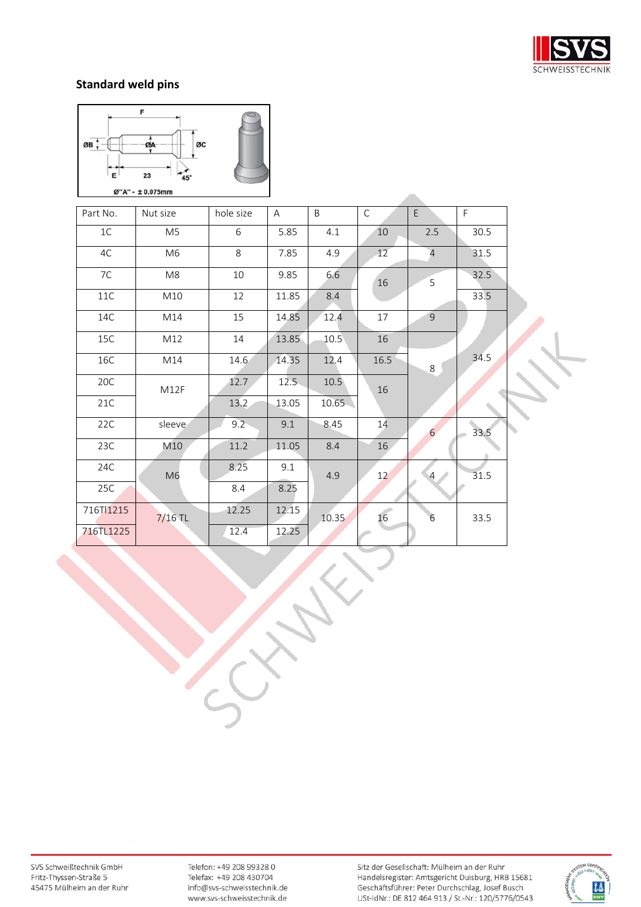



| Part No.  | Nut size       | hole size | $\mathsf{A}$ | B     | $\mathsf{C}$ | E               | F.   |  |
|-----------|----------------|-----------|--------------|-------|--------------|-----------------|------|--|
| 1C        | M <sub>5</sub> | 6         | 5.85         | 4.1   | 10           | 2.5             | 30.5 |  |
| 4C        | M6             | 8         | 7.85         | 4.9   | 12           | $\overline{4}$  | 31.5 |  |
| 7C        | M8             | 10        | 9.85         | 6.6   | 16           | 5               | 32.5 |  |
| 11C       | M10            | 12        | 11.85        | 8.4   |              |                 | 33.5 |  |
| 14C       | M14            | 15        | 14.85        | 12.4  | 17           | $\overline{9}$  |      |  |
| 15C       | M12            | 14        | 13.85        | 10.5  | 16           |                 |      |  |
| 16C       | M14            | 14.6      | 14.35        | 12.4  | 16.5         | 8               | 34.5 |  |
| 20C       | M12F           | 12.7      | 12.5         | 10.5  | 16           |                 |      |  |
| 21C       |                | 13.2      | 13.05        | 10.65 |              |                 |      |  |
| 22C       | sleeve         | $9.2 -$   | 9.1          | 8.45  | 14           | $6\overline{6}$ | 33.5 |  |
| 23C       | M10            | 11.2      | 11.05        | 8.4   | 16           |                 |      |  |
| 24C       | M <sub>6</sub> | 8.25      | 9.1          | 4.9   | 12           | $4 \,$          | 31.5 |  |
| 25C       |                | 8.4       | 8.25         |       |              |                 |      |  |
| 716T11215 | $7/16$ TL      | 12.25     | 12.15        | 10.35 | 16           | 6               | 33.5 |  |
| 716TL1225 |                | 12.4      | 12.25        |       |              |                 |      |  |

SVS Schweißtechnik GmbH Fritz-Thyssen-Straße 5 45475 Mülheim an der Ruhr

Telefon: +49 208 99328 0 Telefax: +49 208 430704 info@svs-schweisstechnik.de www.svs-schweisstechnik.de

e de la propie

Sitz der Gesellschaft: Mülheim an der Ruhr Handelsregister: Amtsgericht Duisburg, HRB 15681<br>Geschäftsführer: Peter Durchschlag, Josef Busch USt-IdNr.: DE 812 464 913 / St.-Nr.: 120/5776/0543